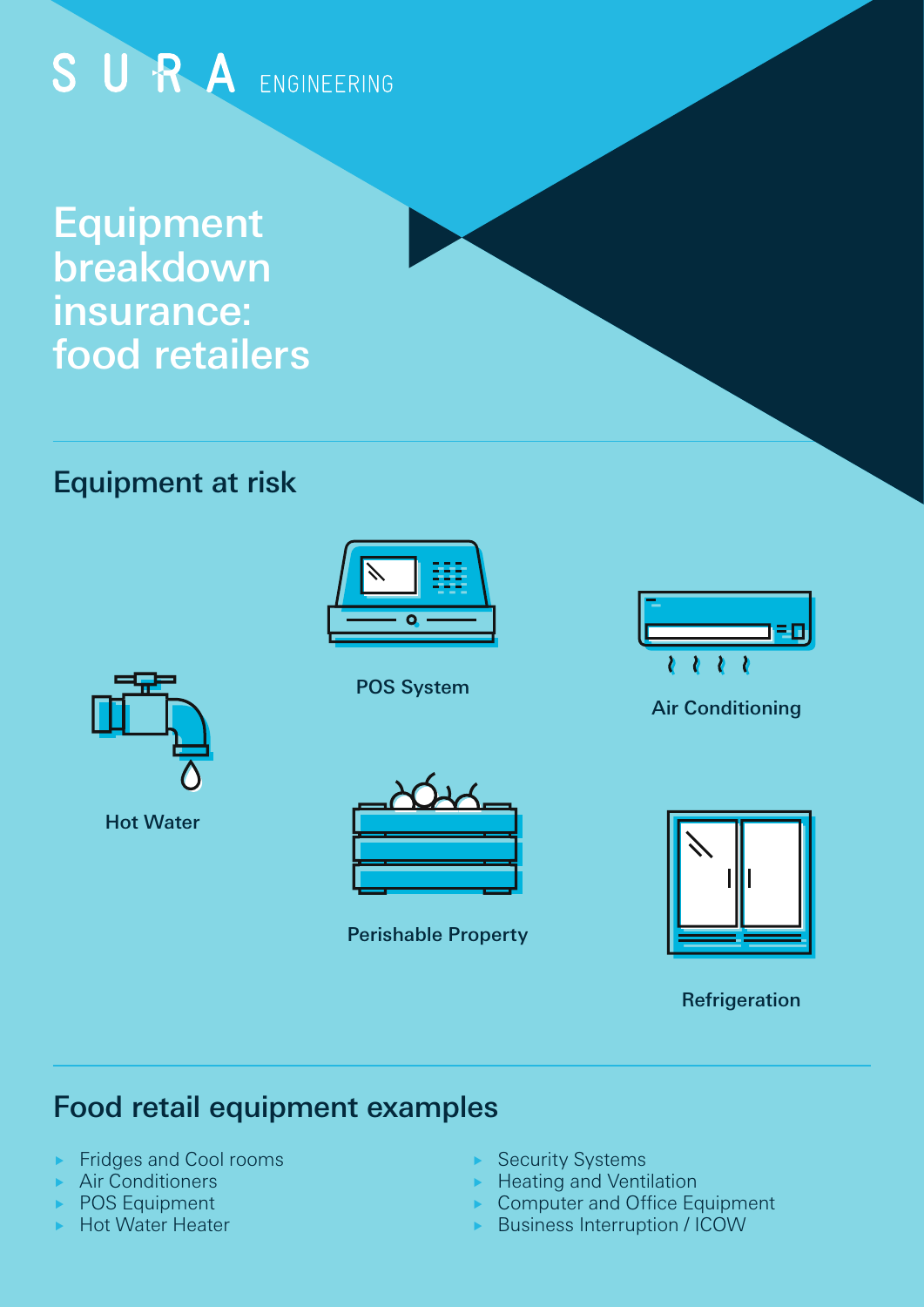# SURA ENGINEERING

Equipment breakdown insurance: food retailers

# Equipment at risk



POS System







Hot Water



Perishable Property



Refrigeration

# Food retail equipment examples

- ► Fridges and Cool rooms
- ▶ Air Conditioners
- ▶ POS Equipment
- **Hot Water Heater**
- ▶ Security Systems
- $\blacktriangleright$  Heating and Ventilation
- Computer and Office Equipment
- **Business Interruption / ICOW**